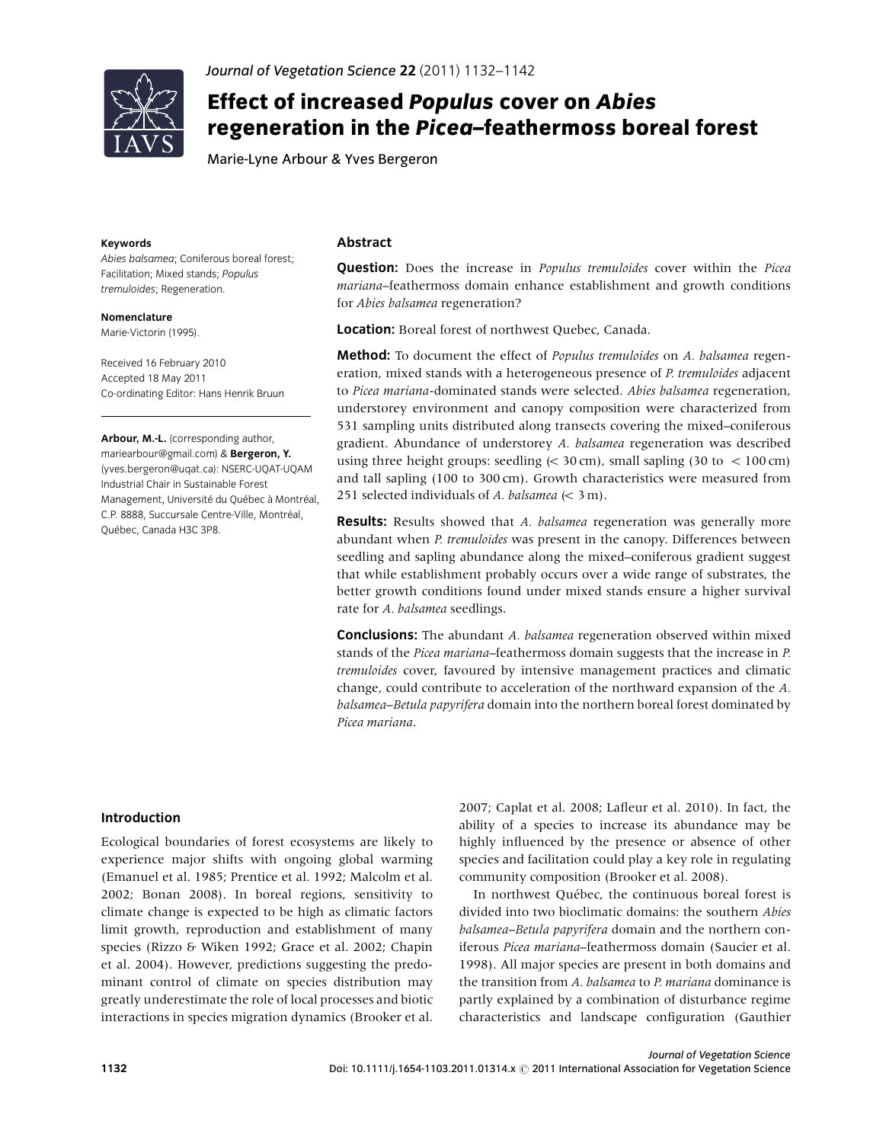

# Effect of increased Populus cover on Abies regeneration in the Picea–feathermoss boreal forest

Marie-Lyne Arbour & Yves Bergeron

#### Keywords

Abies balsamea; Coniferous boreal forest; Facilitation; Mixed stands; Populus tremuloides; Regeneration.

Nomenclature Marie-Victorin (1995).

Received 16 February 2010

Accepted 18 May 2011 Co-ordinating Editor: Hans Henrik Bruun

Arbour, M.-L. (corresponding author, [mariearbour@gmail.com\) &](mailto:mariearbour@gmail.com) [Bergeron, Y.](mailto:mariearbour@gmail.com) [\(yves.bergeron@uqat.ca\): NSERC-UQAT-UQAM](mailto:yves.bergeron@uqat.ca) [Industrial Chair in Sustainable Forest](mailto:yves.bergeron@uqat.ca) [Management, Universit](mailto:yves.bergeron@uqat.ca)é [du Qu](mailto:yves.bergeron@uqat.ca)ébec à Montréal, C.P. 8888, Succursale Centre-Ville, Montréal, [Quebec, Canada H3C 3P8.](mailto:yves.bergeron@uqat.ca) ´

# Abstract

**Question:** Does the increase in *Populus tremuloides* cover within the *Picea* mariana–feathermoss domain enhance establishment and growth conditions for Abies balsamea regeneration?

Location: Boreal forest of northwest Quebec, Canada.

**Method:** To document the effect of *Populus tremuloides* on A. balsamea regeneration, mixed stands with a heterogeneous presence of P. tremuloides adjacent to Picea mariana-dominated stands were selected. Abies balsamea regeneration, understorey environment and canopy composition were characterized from 531 sampling units distributed along transects covering the mixed–coniferous gradient. Abundance of understorey A. balsamea regeneration was described using three height groups: seedling  $\ll$  30 cm), small sapling (30 to  $\lt$  100 cm) and tall sapling (100 to 300 cm). Growth characteristics were measured from 251 selected individuals of A. balsamea  $(< 3 \,\mathrm{m}$ ).

**Results:** Results showed that A. balsamea regeneration was generally more abundant when P. tremuloides was present in the canopy. Differences between seedling and sapling abundance along the mixed–coniferous gradient suggest that while establishment probably occurs over a wide range of substrates, the better growth conditions found under mixed stands ensure a higher survival rate for A. balsamea seedlings.

**Conclusions:** The abundant A. balsamea regeneration observed within mixed stands of the Picea mariana–feathermoss domain suggests that the increase in P. tremuloides cover, favoured by intensive management practices and climatic change, could contribute to acceleration of the northward expansion of the A. balsamea–Betula papyrifera domain into the northern boreal forest dominated by Picea mariana.

## Introduction

Ecological boundaries of forest ecosystems are likely to experience major shifts with ongoing global warming (Emanuel et al. 1985; Prentice et al. 1992; Malcolm et al. 2002; Bonan 2008). In boreal regions, sensitivity to climate change is expected to be high as climatic factors limit growth, reproduction and establishment of many species (Rizzo & Wiken 1992; Grace et al. 2002; Chapin et al. 2004). However, predictions suggesting the predominant control of climate on species distribution may greatly underestimate the role of local processes and biotic interactions in species migration dynamics (Brooker et al.

2007; Caplat et al. 2008; Lafleur et al. 2010). In fact, the ability of a species to increase its abundance may be highly influenced by the presence or absence of other species and facilitation could play a key role in regulating community composition (Brooker et al. 2008).

In northwest Québec, the continuous boreal forest is divided into two bioclimatic domains: the southern Abies balsamea–Betula papyrifera domain and the northern coniferous Picea mariana–feathermoss domain (Saucier et al. 1998). All major species are present in both domains and the transition from A. balsamea to P. mariana dominance is partly explained by a combination of disturbance regime characteristics and landscape configuration (Gauthier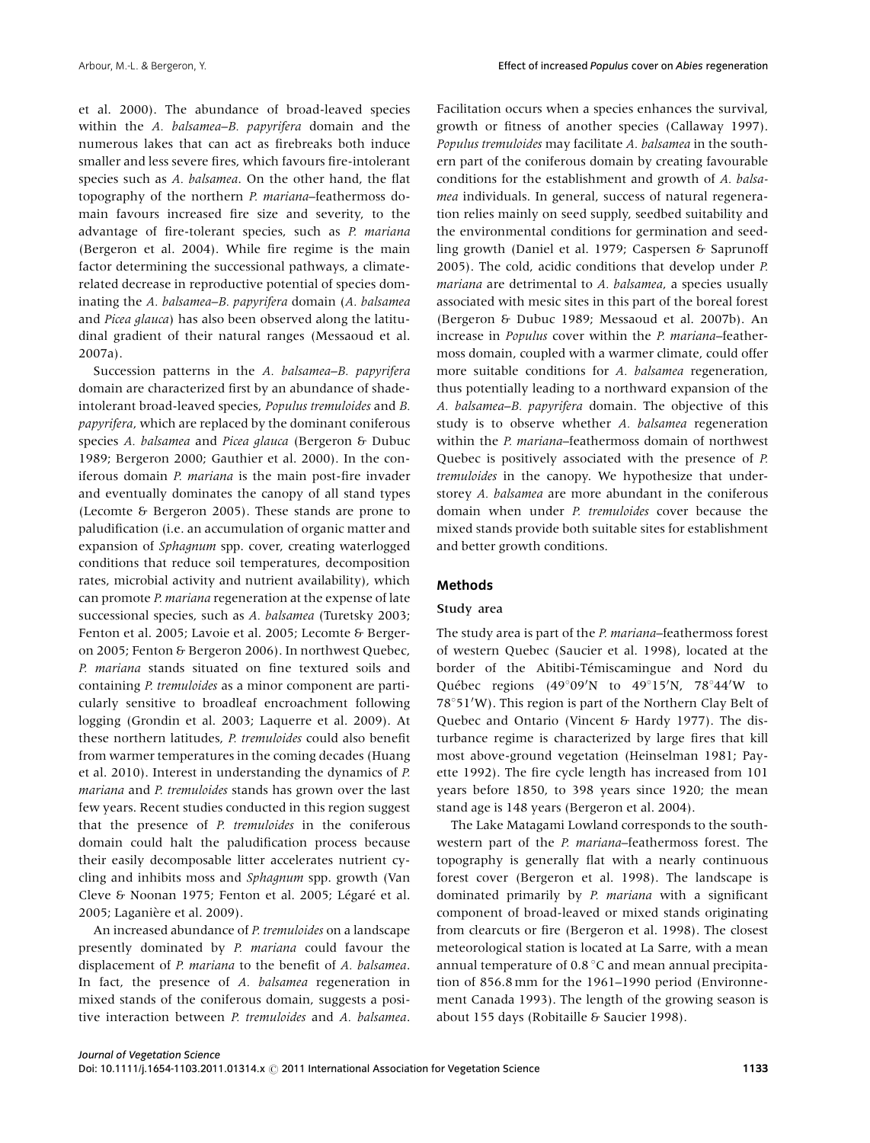et al. 2000). The abundance of broad-leaved species within the A. balsamea–B. papyrifera domain and the numerous lakes that can act as firebreaks both induce smaller and less severe fires, which favours fire-intolerant species such as A. balsamea. On the other hand, the flat topography of the northern P. mariana–feathermoss domain favours increased fire size and severity, to the advantage of fire-tolerant species, such as P. mariana (Bergeron et al. 2004). While fire regime is the main factor determining the successional pathways, a climaterelated decrease in reproductive potential of species dominating the A. balsamea–B. papyrifera domain (A. balsamea and Picea glauca) has also been observed along the latitudinal gradient of their natural ranges (Messaoud et al. 2007a).

Succession patterns in the A. balsamea-B. papyrifera domain are characterized first by an abundance of shadeintolerant broad-leaved species, Populus tremuloides and B. papyrifera, which are replaced by the dominant coniferous species A. balsamea and Picea glauca (Bergeron & Dubuc 1989; Bergeron 2000; Gauthier et al. 2000). In the coniferous domain P. mariana is the main post-fire invader and eventually dominates the canopy of all stand types (Lecomte & Bergeron 2005). These stands are prone to paludification (i.e. an accumulation of organic matter and expansion of Sphagnum spp. cover, creating waterlogged conditions that reduce soil temperatures, decomposition rates, microbial activity and nutrient availability), which can promote P. mariana regeneration at the expense of late successional species, such as A. balsamea (Turetsky 2003; Fenton et al. 2005; Lavoie et al. 2005; Lecomte & Bergeron 2005; Fenton & Bergeron 2006). In northwest Quebec, P. mariana stands situated on fine textured soils and containing P. tremuloides as a minor component are particularly sensitive to broadleaf encroachment following logging (Grondin et al. 2003; Laquerre et al. 2009). At these northern latitudes, P. tremuloides could also benefit from warmer temperatures in the coming decades (Huang et al. 2010). Interest in understanding the dynamics of P. mariana and P. tremuloides stands has grown over the last few years. Recent studies conducted in this region suggest that the presence of P. tremuloides in the coniferous domain could halt the paludification process because their easily decomposable litter accelerates nutrient cycling and inhibits moss and Sphagnum spp. growth (Van Cleve & Noonan 1975; Fenton et al. 2005; Légaré et al. 2005; Laganière et al. 2009).

An increased abundance of P. tremuloides on a landscape presently dominated by P. mariana could favour the displacement of P. mariana to the benefit of A. balsamea. In fact, the presence of A. balsamea regeneration in mixed stands of the coniferous domain, suggests a positive interaction between P. tremuloides and A. balsamea.

Facilitation occurs when a species enhances the survival, growth or fitness of another species (Callaway 1997). Populus tremuloides may facilitate A. balsamea in the southern part of the coniferous domain by creating favourable conditions for the establishment and growth of A. balsamea individuals. In general, success of natural regeneration relies mainly on seed supply, seedbed suitability and the environmental conditions for germination and seedling growth (Daniel et al. 1979; Caspersen & Saprunoff 2005). The cold, acidic conditions that develop under P. mariana are detrimental to A. balsamea, a species usually associated with mesic sites in this part of the boreal forest (Bergeron & Dubuc 1989; Messaoud et al. 2007b). An increase in Populus cover within the P. mariana–feathermoss domain, coupled with a warmer climate, could offer more suitable conditions for A. balsamea regeneration, thus potentially leading to a northward expansion of the A. balsamea–B. papyrifera domain. The objective of this study is to observe whether A. balsamea regeneration within the *P. mariana*–feathermoss domain of northwest Quebec is positively associated with the presence of P. tremuloides in the canopy. We hypothesize that understorey A. balsamea are more abundant in the coniferous domain when under P. tremuloides cover because the mixed stands provide both suitable sites for establishment and better growth conditions.

## Methods

## Study area

The study area is part of the P. mariana–feathermoss forest of western Quebec (Saucier et al. 1998), located at the border of the Abitibi-Témiscamingue and Nord du Québec regions (49°09'N to 49°15'N, 78°44'W to 78°51'W). This region is part of the Northern Clay Belt of Quebec and Ontario (Vincent & Hardy 1977). The disturbance regime is characterized by large fires that kill most above-ground vegetation (Heinselman 1981; Payette 1992). The fire cycle length has increased from 101 years before 1850, to 398 years since 1920; the mean stand age is 148 years (Bergeron et al. 2004).

The Lake Matagami Lowland corresponds to the southwestern part of the P. mariana–feathermoss forest. The topography is generally flat with a nearly continuous forest cover (Bergeron et al. 1998). The landscape is dominated primarily by P. mariana with a significant component of broad-leaved or mixed stands originating from clearcuts or fire (Bergeron et al. 1998). The closest meteorological station is located at La Sarre, with a mean annual temperature of  $0.8\degree$ C and mean annual precipitation of 856.8 mm for the 1961–1990 period (Environnement Canada 1993). The length of the growing season is about 155 days (Robitaille & Saucier 1998).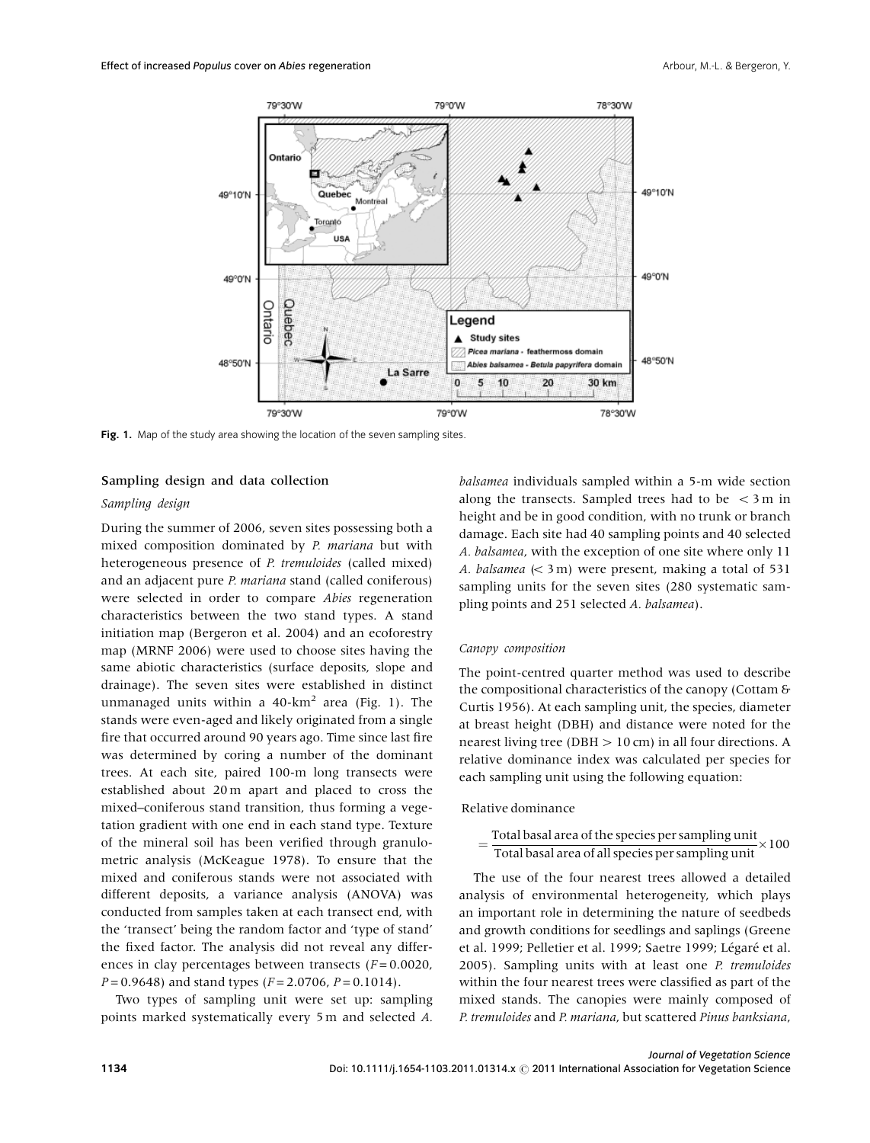

Fig. 1. Map of the study area showing the location of the seven sampling sites.

## Sampling design and data collection

## Sampling design

During the summer of 2006, seven sites possessing both a mixed composition dominated by P. mariana but with heterogeneous presence of *P. tremuloides* (called mixed) and an adjacent pure P. mariana stand (called coniferous) were selected in order to compare Abies regeneration characteristics between the two stand types. A stand initiation map (Bergeron et al. 2004) and an ecoforestry map (MRNF 2006) were used to choose sites having the same abiotic characteristics (surface deposits, slope and drainage). The seven sites were established in distinct unmanaged units within a  $40 \text{-} \text{km}^2$  area (Fig. 1). The stands were even-aged and likely originated from a single fire that occurred around 90 years ago. Time since last fire was determined by coring a number of the dominant trees. At each site, paired 100-m long transects were established about 20 m apart and placed to cross the mixed–coniferous stand transition, thus forming a vegetation gradient with one end in each stand type. Texture of the mineral soil has been verified through granulometric analysis (McKeague 1978). To ensure that the mixed and coniferous stands were not associated with different deposits, a variance analysis (ANOVA) was conducted from samples taken at each transect end, with the 'transect' being the random factor and 'type of stand' the fixed factor. The analysis did not reveal any differences in clay percentages between transects  $(F = 0.0020,$  $P = 0.9648$ ) and stand types ( $F = 2.0706$ ,  $P = 0.1014$ ).

Two types of sampling unit were set up: sampling points marked systematically every 5 m and selected A. balsamea individuals sampled within a 5-m wide section along the transects. Sampled trees had to be  $\langle 3 \text{ m} \rangle$  in height and be in good condition, with no trunk or branch damage. Each site had 40 sampling points and 40 selected A. balsamea, with the exception of one site where only 11 A. balsamea  $(< 3 \,\mathrm{m})$  were present, making a total of 531 sampling units for the seven sites (280 systematic sampling points and 251 selected A. balsamea).

#### Canopy composition

The point-centred quarter method was used to describe the compositional characteristics of the canopy (Cottam & Curtis 1956). At each sampling unit, the species, diameter at breast height (DBH) and distance were noted for the nearest living tree (DBH  $> 10$  cm) in all four directions. A relative dominance index was calculated per species for each sampling unit using the following equation:

## Relative dominance

 $=\frac{Total basal area of the species per sampling unit}{Total basal area of all species per sampling unit} \times 100$ 

The use of the four nearest trees allowed a detailed analysis of environmental heterogeneity, which plays an important role in determining the nature of seedbeds and growth conditions for seedlings and saplings (Greene et al. 1999; Pelletier et al. 1999; Saetre 1999; Légaré et al. 2005). Sampling units with at least one P. tremuloides within the four nearest trees were classified as part of the mixed stands. The canopies were mainly composed of P. tremuloides and P. mariana, but scattered Pinus banksiana,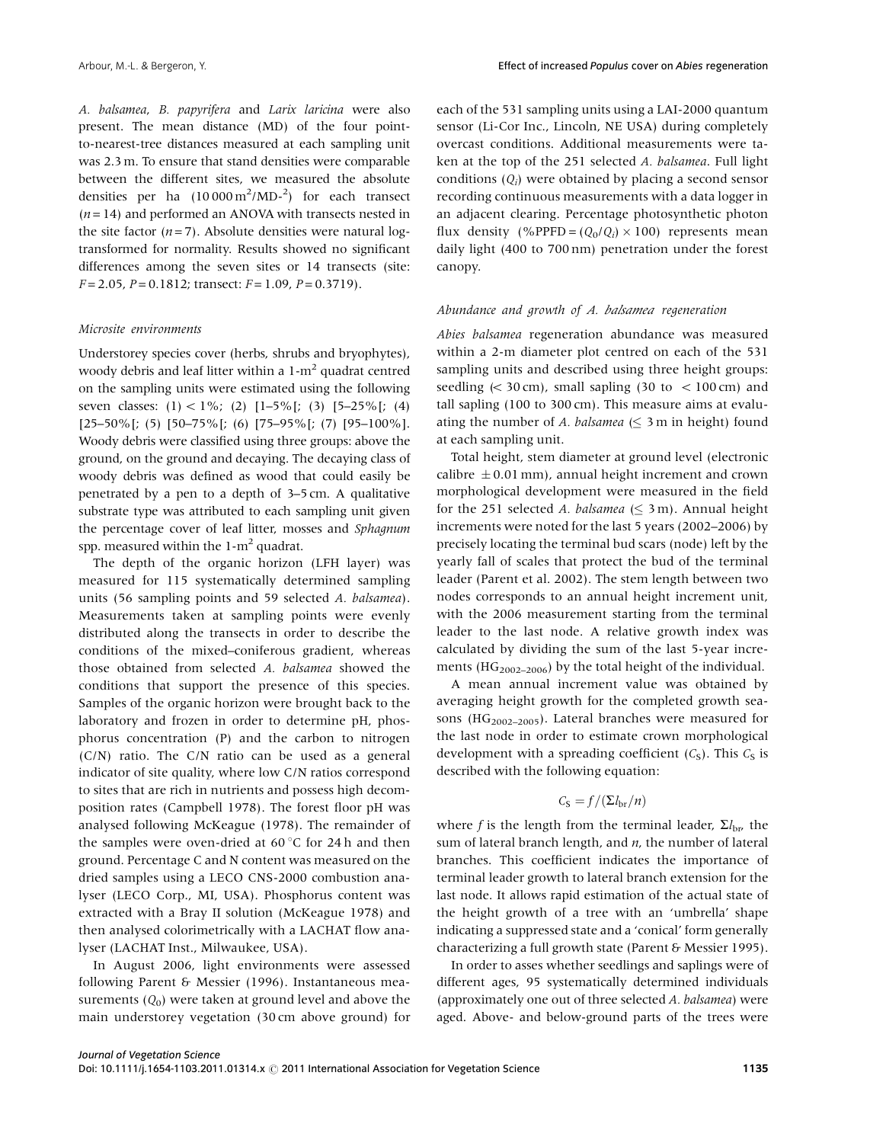A. balsamea, B. papyrifera and Larix laricina were also present. The mean distance (MD) of the four pointto-nearest-tree distances measured at each sampling unit was 2.3 m. To ensure that stand densities were comparable between the different sites, we measured the absolute densities per ha  $(10000 \text{ m}^2/\text{MD}^2)$  for each transect  $(n=14)$  and performed an ANOVA with transects nested in the site factor  $(n=7)$ . Absolute densities were natural logtransformed for normality. Results showed no significant differences among the seven sites or 14 transects (site:  $F = 2.05$ ,  $P = 0.1812$ ; transect:  $F = 1.09$ ,  $P = 0.3719$ ).

## Microsite environments

Understorey species cover (herbs, shrubs and bryophytes), woody debris and leaf litter within a  $1-m^2$  quadrat centred on the sampling units were estimated using the following seven classes:  $(1)$  < 1%;  $(2)$  [1–5%[;  $(3)$  [5–25%[;  $(4)$ ] [25–50%[; (5) [50–75%[; (6) [75–95%[; (7) [95–100%]. Woody debris were classified using three groups: above the ground, on the ground and decaying. The decaying class of woody debris was defined as wood that could easily be penetrated by a pen to a depth of 3–5 cm. A qualitative substrate type was attributed to each sampling unit given the percentage cover of leaf litter, mosses and Sphagnum spp. measured within the  $1-m^2$  quadrat.

The depth of the organic horizon (LFH layer) was measured for 115 systematically determined sampling units (56 sampling points and 59 selected A. balsamea). Measurements taken at sampling points were evenly distributed along the transects in order to describe the conditions of the mixed–coniferous gradient, whereas those obtained from selected A. balsamea showed the conditions that support the presence of this species. Samples of the organic horizon were brought back to the laboratory and frozen in order to determine pH, phosphorus concentration (P) and the carbon to nitrogen (C/N) ratio. The C/N ratio can be used as a general indicator of site quality, where low C/N ratios correspond to sites that are rich in nutrients and possess high decomposition rates (Campbell 1978). The forest floor pH was analysed following McKeague (1978). The remainder of the samples were oven-dried at 60 $\degree$ C for 24 h and then ground. Percentage C and N content was measured on the dried samples using a LECO CNS-2000 combustion analyser (LECO Corp., MI, USA). Phosphorus content was extracted with a Bray II solution (McKeague 1978) and then analysed colorimetrically with a LACHAT flow analyser (LACHAT Inst., Milwaukee, USA).

In August 2006, light environments were assessed following Parent & Messier (1996). Instantaneous measurements  $(Q_0)$  were taken at ground level and above the main understorey vegetation (30 cm above ground) for

each of the 531 sampling units using a LAI-2000 quantum sensor (Li-Cor Inc., Lincoln, NE USA) during completely overcast conditions. Additional measurements were taken at the top of the 251 selected A. balsamea. Full light conditions  $(Q_i)$  were obtained by placing a second sensor recording continuous measurements with a data logger in an adjacent clearing. Percentage photosynthetic photon flux density (%PPFD =  $(Q_0/Q_i) \times 100$ ) represents mean daily light (400 to 700 nm) penetration under the forest canopy.

## Abundance and growth of A. balsamea regeneration

Abies balsamea regeneration abundance was measured within a 2-m diameter plot centred on each of the 531 sampling units and described using three height groups: seedling  $\ll$  30 cm), small sapling (30 to  $\lt$  100 cm) and tall sapling (100 to 300 cm). This measure aims at evaluating the number of A. balsamea  $( \leq 3 \,\text{m}$  in height) found at each sampling unit.

Total height, stem diameter at ground level (electronic calibre  $\pm$  0.01 mm), annual height increment and crown morphological development were measured in the field for the 251 selected A. balsamea ( $\leq$  3 m). Annual height increments were noted for the last 5 years (2002–2006) by precisely locating the terminal bud scars (node) left by the yearly fall of scales that protect the bud of the terminal leader (Parent et al. 2002). The stem length between two nodes corresponds to an annual height increment unit, with the 2006 measurement starting from the terminal leader to the last node. A relative growth index was calculated by dividing the sum of the last 5-year increments (HG<sub>2002-2006</sub>) by the total height of the individual.

A mean annual increment value was obtained by averaging height growth for the completed growth seasons (HG<sub>2002–2005</sub>). Lateral branches were measured for the last node in order to estimate crown morphological development with a spreading coefficient  $(C<sub>S</sub>)$ . This  $C<sub>S</sub>$  is described with the following equation:

$$
C_{\rm S}=f/(\Sigma l_{\rm br}/n)
$$

where f is the length from the terminal leader,  $\Sigma l_{\rm br}$  the sum of lateral branch length, and  $n$ , the number of lateral branches. This coefficient indicates the importance of terminal leader growth to lateral branch extension for the last node. It allows rapid estimation of the actual state of the height growth of a tree with an 'umbrella' shape indicating a suppressed state and a 'conical' form generally characterizing a full growth state (Parent & Messier 1995).

In order to asses whether seedlings and saplings were of different ages, 95 systematically determined individuals (approximately one out of three selected A. balsamea) were aged. Above- and below-ground parts of the trees were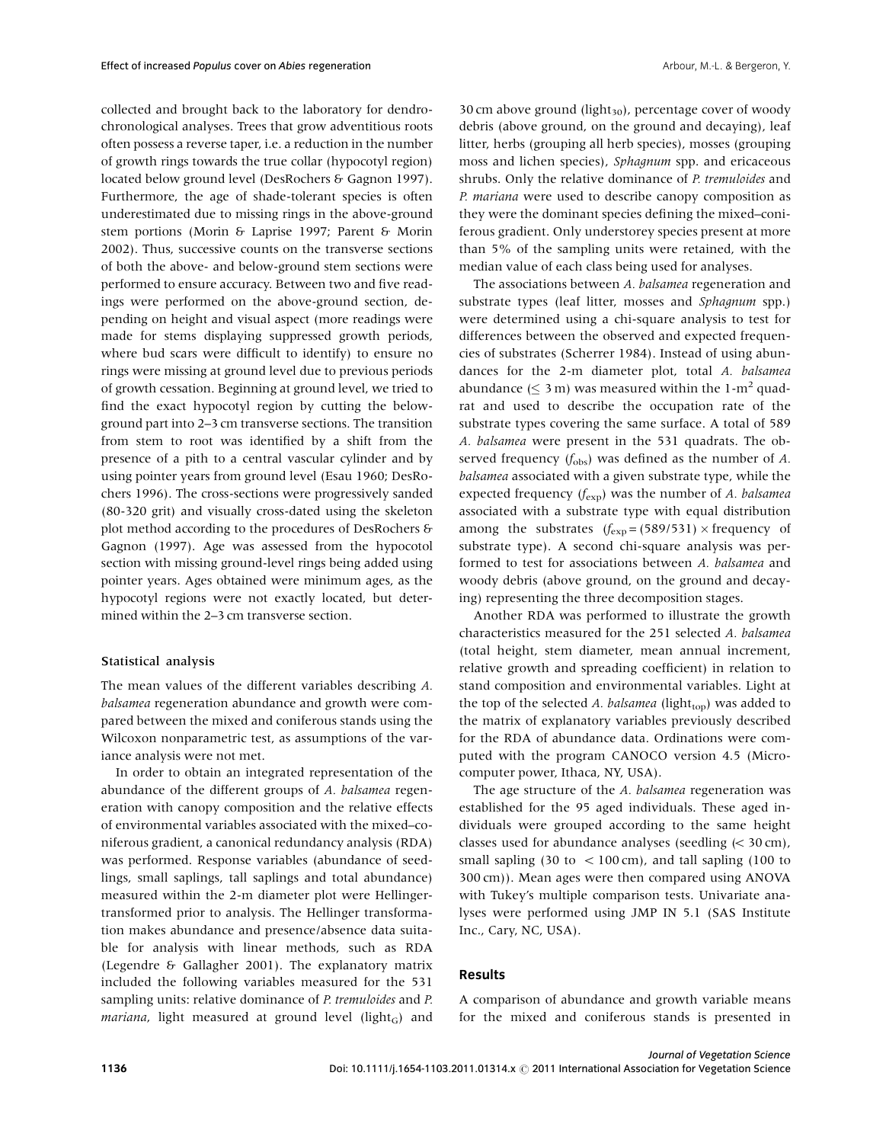collected and brought back to the laboratory for dendrochronological analyses. Trees that grow adventitious roots often possess a reverse taper, i.e. a reduction in the number of growth rings towards the true collar (hypocotyl region) located below ground level (DesRochers & Gagnon 1997). Furthermore, the age of shade-tolerant species is often underestimated due to missing rings in the above-ground stem portions (Morin & Laprise 1997; Parent & Morin 2002). Thus, successive counts on the transverse sections of both the above- and below-ground stem sections were performed to ensure accuracy. Between two and five readings were performed on the above-ground section, depending on height and visual aspect (more readings were made for stems displaying suppressed growth periods, where bud scars were difficult to identify) to ensure no rings were missing at ground level due to previous periods of growth cessation. Beginning at ground level, we tried to find the exact hypocotyl region by cutting the belowground part into 2–3 cm transverse sections. The transition from stem to root was identified by a shift from the presence of a pith to a central vascular cylinder and by using pointer years from ground level (Esau 1960; DesRochers 1996). The cross-sections were progressively sanded (80-320 grit) and visually cross-dated using the skeleton plot method according to the procedures of DesRochers & Gagnon (1997). Age was assessed from the hypocotol section with missing ground-level rings being added using pointer years. Ages obtained were minimum ages, as the hypocotyl regions were not exactly located, but determined within the 2–3 cm transverse section.

## Statistical analysis

The mean values of the different variables describing A. balsamea regeneration abundance and growth were compared between the mixed and coniferous stands using the Wilcoxon nonparametric test, as assumptions of the variance analysis were not met.

In order to obtain an integrated representation of the abundance of the different groups of A. balsamea regeneration with canopy composition and the relative effects of environmental variables associated with the mixed–coniferous gradient, a canonical redundancy analysis (RDA) was performed. Response variables (abundance of seedlings, small saplings, tall saplings and total abundance) measured within the 2-m diameter plot were Hellingertransformed prior to analysis. The Hellinger transformation makes abundance and presence/absence data suitable for analysis with linear methods, such as RDA (Legendre & Gallagher 2001). The explanatory matrix included the following variables measured for the 531 sampling units: relative dominance of *P. tremuloides* and *P. mariana*, light measured at ground level (light<sub>G</sub>) and 30 cm above ground (light $_{30}$ ), percentage cover of woody debris (above ground, on the ground and decaying), leaf litter, herbs (grouping all herb species), mosses (grouping moss and lichen species), Sphagnum spp. and ericaceous shrubs. Only the relative dominance of P. tremuloides and P. mariana were used to describe canopy composition as they were the dominant species defining the mixed–coniferous gradient. Only understorey species present at more than 5% of the sampling units were retained, with the median value of each class being used for analyses.

The associations between A. balsamea regeneration and substrate types (leaf litter, mosses and Sphagnum spp.) were determined using a chi-square analysis to test for differences between the observed and expected frequencies of substrates (Scherrer 1984). Instead of using abundances for the 2-m diameter plot, total A. balsamea abundance ( $\leq$  3 m) was measured within the 1-m<sup>2</sup> quadrat and used to describe the occupation rate of the substrate types covering the same surface. A total of 589 A. balsamea were present in the 531 quadrats. The observed frequency  $(f_{obs})$  was defined as the number of A. balsamea associated with a given substrate type, while the expected frequency  $(f_{\exp})$  was the number of A. balsamea associated with a substrate type with equal distribution among the substrates  $(f_{exp} = (589/531) \times \text{frequency}$  of substrate type). A second chi-square analysis was performed to test for associations between A. balsamea and woody debris (above ground, on the ground and decaying) representing the three decomposition stages.

Another RDA was performed to illustrate the growth characteristics measured for the 251 selected A. balsamea (total height, stem diameter, mean annual increment, relative growth and spreading coefficient) in relation to stand composition and environmental variables. Light at the top of the selected A. balsamea (light $_{top}$ ) was added to the matrix of explanatory variables previously described for the RDA of abundance data. Ordinations were computed with the program CANOCO version 4.5 (Microcomputer power, Ithaca, NY, USA).

The age structure of the A. balsamea regeneration was established for the 95 aged individuals. These aged individuals were grouped according to the same height classes used for abundance analyses (seedling  $\ll$  30 cm), small sapling (30 to  $\langle 100 \text{ cm} \rangle$ , and tall sapling (100 to 300 cm)). Mean ages were then compared using ANOVA with Tukey's multiple comparison tests. Univariate analyses were performed using JMP IN 5.1 (SAS Institute Inc., Cary, NC, USA).

## Results

A comparison of abundance and growth variable means for the mixed and coniferous stands is presented in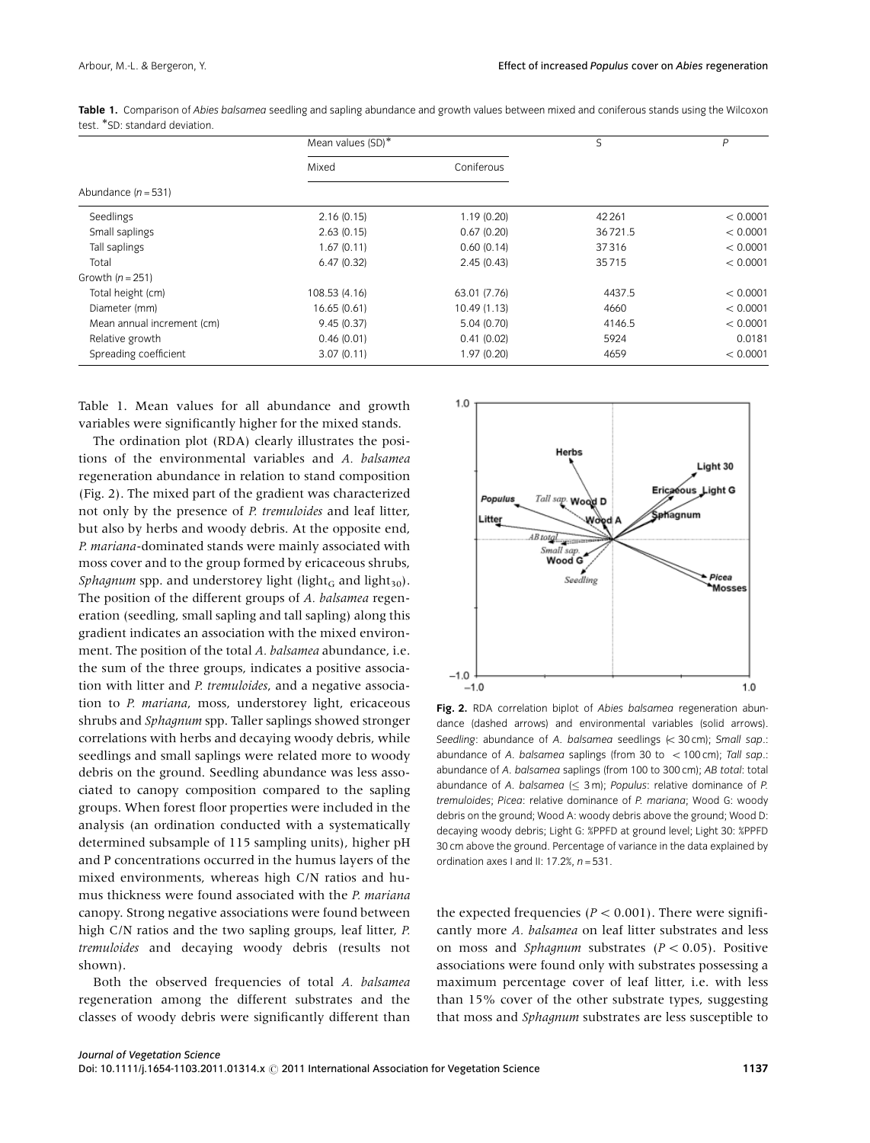|                            | Mean values (SD)* |              | S       | P        |
|----------------------------|-------------------|--------------|---------|----------|
|                            | Mixed             | Coniferous   |         |          |
| Abundance $(n = 531)$      |                   |              |         |          |
| Seedlings                  | 2.16(0.15)        | 1.19(0.20)   | 42 2 61 | < 0.0001 |
| Small saplings             | 2.63(0.15)        | 0.67(0.20)   | 36721.5 | < 0.0001 |
| Tall saplings              | 1.67(0.11)        | 0.60(0.14)   | 37316   | < 0.0001 |
| Total                      | 6.47(0.32)        | 2.45(0.43)   | 35715   | < 0.0001 |
| Growth $(n = 251)$         |                   |              |         |          |
| Total height (cm)          | 108.53 (4.16)     | 63.01 (7.76) | 4437.5  | < 0.0001 |
| Diameter (mm)              | 16.65(0.61)       | 10.49 (1.13) | 4660    | < 0.0001 |
| Mean annual increment (cm) | 9.45(0.37)        | 5.04(0.70)   | 4146.5  | < 0.0001 |
| Relative growth            | 0.46(0.01)        | 0.41(0.02)   | 5924    | 0.0181   |
| Spreading coefficient      | 3.07(0.11)        | 1.97(0.20)   | 4659    | < 0.0001 |

Table 1. Comparison of Abies balsamea seedling and sapling abundance and growth values between mixed and coniferous stands using the Wilcoxon test. \*SD: standard deviation.

Table 1. Mean values for all abundance and growth variables were significantly higher for the mixed stands.

The ordination plot (RDA) clearly illustrates the positions of the environmental variables and A. balsamea regeneration abundance in relation to stand composition (Fig. 2). The mixed part of the gradient was characterized not only by the presence of P. tremuloides and leaf litter, but also by herbs and woody debris. At the opposite end, P. mariana-dominated stands were mainly associated with moss cover and to the group formed by ericaceous shrubs, Sphagnum spp. and understorey light (light<sub>G</sub> and light<sub>30</sub>). The position of the different groups of A. balsamea regeneration (seedling, small sapling and tall sapling) along this gradient indicates an association with the mixed environment. The position of the total A. balsamea abundance, i.e. the sum of the three groups, indicates a positive association with litter and P. tremuloides, and a negative association to P. mariana, moss, understorey light, ericaceous shrubs and Sphagnum spp. Taller saplings showed stronger correlations with herbs and decaying woody debris, while seedlings and small saplings were related more to woody debris on the ground. Seedling abundance was less associated to canopy composition compared to the sapling groups. When forest floor properties were included in the analysis (an ordination conducted with a systematically determined subsample of 115 sampling units), higher pH and P concentrations occurred in the humus layers of the mixed environments, whereas high C/N ratios and humus thickness were found associated with the P. mariana canopy. Strong negative associations were found between high C/N ratios and the two sapling groups, leaf litter, P. tremuloides and decaying woody debris (results not shown).

Both the observed frequencies of total A. balsamea regeneration among the different substrates and the classes of woody debris were significantly different than



Fig. 2. RDA correlation biplot of Abies balsamea regeneration abundance (dashed arrows) and environmental variables (solid arrows). Seedling: abundance of A. balsamea seedlings  $\leq$  30 cm); Small sap.: abundance of A. balsamea saplings (from 30 to  $\lt$  100 cm); Tall sap.: abundance of A. balsamea saplings (from 100 to 300 cm); AB total: total abundance of A. balsamea  $(\leq 3 \,\text{m})$ ; Populus: relative dominance of P. tremuloides; Picea: relative dominance of P. mariana; Wood G: woody debris on the ground; Wood A: woody debris above the ground; Wood D: decaying woody debris; Light G: %PPFD at ground level; Light 30: %PPFD 30 cm above the ground. Percentage of variance in the data explained by ordination axes I and II: 17.2%,  $n = 531$ .

the expected frequencies ( $P < 0.001$ ). There were significantly more A. balsamea on leaf litter substrates and less on moss and *Sphagnum* substrates  $(P < 0.05)$ . Positive associations were found only with substrates possessing a maximum percentage cover of leaf litter, i.e. with less than 15% cover of the other substrate types, suggesting that moss and Sphagnum substrates are less susceptible to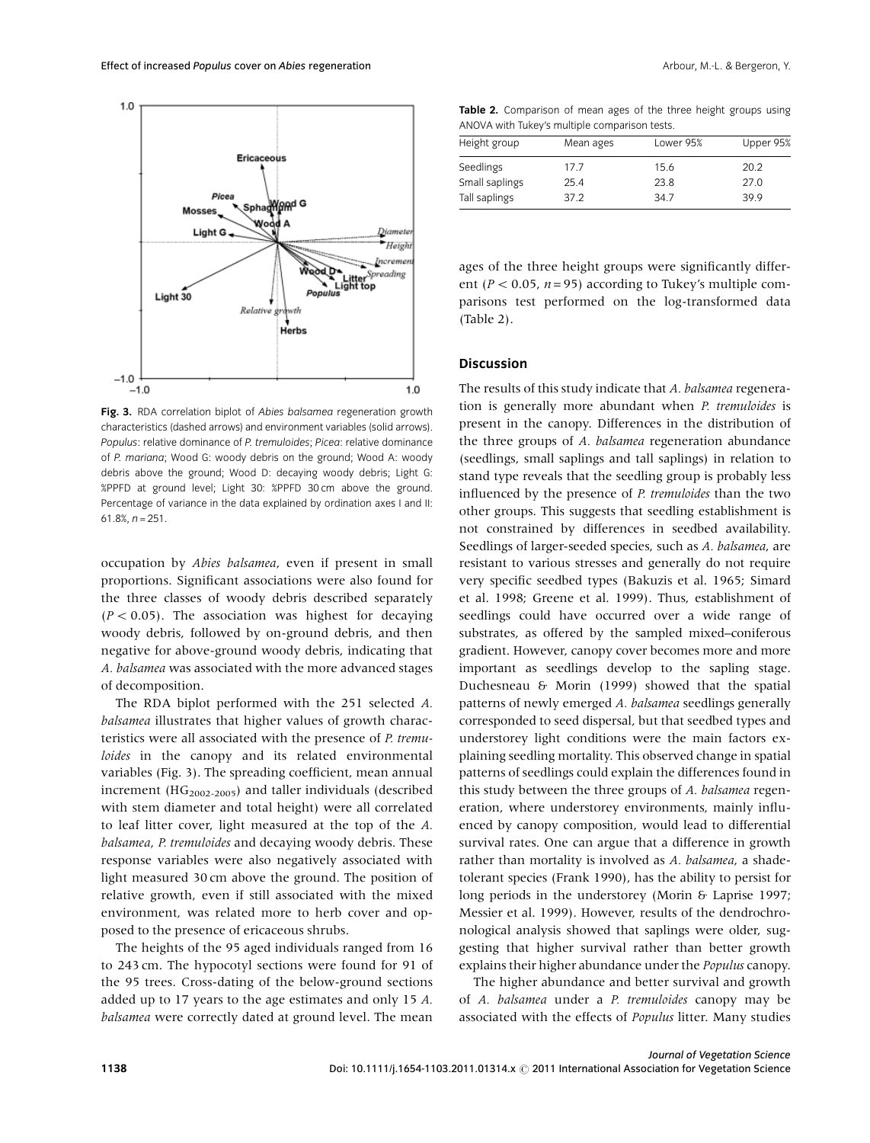

Fig. 3. RDA correlation biplot of Abies balsamea regeneration growth characteristics (dashed arrows) and environment variables (solid arrows). Populus: relative dominance of P. tremuloides; Picea: relative dominance of P. mariana; Wood G: woody debris on the ground; Wood A: woody debris above the ground; Wood D: decaying woody debris; Light G: %PPFD at ground level; Light 30: %PPFD 30 cm above the ground. Percentage of variance in the data explained by ordination axes I and II: 61.8%,  $n = 251$ .

occupation by Abies balsamea, even if present in small proportions. Significant associations were also found for the three classes of woody debris described separately  $(P < 0.05)$ . The association was highest for decaying woody debris, followed by on-ground debris, and then negative for above-ground woody debris, indicating that A. balsamea was associated with the more advanced stages of decomposition.

The RDA biplot performed with the 251 selected A. balsamea illustrates that higher values of growth characteristics were all associated with the presence of P. tremuloides in the canopy and its related environmental variables (Fig. 3). The spreading coefficient, mean annual increment ( $HG_{2002-2005}$ ) and taller individuals (described with stem diameter and total height) were all correlated to leaf litter cover, light measured at the top of the A. balsamea, P. tremuloides and decaying woody debris. These response variables were also negatively associated with light measured 30 cm above the ground. The position of relative growth, even if still associated with the mixed environment, was related more to herb cover and opposed to the presence of ericaceous shrubs.

The heights of the 95 aged individuals ranged from 16 to 243 cm. The hypocotyl sections were found for 91 of the 95 trees. Cross-dating of the below-ground sections added up to 17 years to the age estimates and only 15 A. balsamea were correctly dated at ground level. The mean

Table 2. Comparison of mean ages of the three height groups using ANOVA with Tukey's multiple comparison tests.

| Height group   | Mean ages | Lower 95% | Upper 95% |
|----------------|-----------|-----------|-----------|
| Seedlings      | 177       | 15.6      | 20.2      |
| Small saplings | 25.4      | 23.8      | 27.0      |
| Tall saplings  | 37.2      | 34.7      | 39.9      |

ages of the three height groups were significantly different ( $P < 0.05$ ,  $n = 95$ ) according to Tukey's multiple comparisons test performed on the log-transformed data (Table 2).

## Discussion

The results of this study indicate that A. balsamea regeneration is generally more abundant when P. tremuloides is present in the canopy. Differences in the distribution of the three groups of A. balsamea regeneration abundance (seedlings, small saplings and tall saplings) in relation to stand type reveals that the seedling group is probably less influenced by the presence of P. tremuloides than the two other groups. This suggests that seedling establishment is not constrained by differences in seedbed availability. Seedlings of larger-seeded species, such as A. balsamea, are resistant to various stresses and generally do not require very specific seedbed types (Bakuzis et al. 1965; Simard et al. 1998; Greene et al. 1999). Thus, establishment of seedlings could have occurred over a wide range of substrates, as offered by the sampled mixed–coniferous gradient. However, canopy cover becomes more and more important as seedlings develop to the sapling stage. Duchesneau & Morin (1999) showed that the spatial patterns of newly emerged A. balsamea seedlings generally corresponded to seed dispersal, but that seedbed types and understorey light conditions were the main factors explaining seedling mortality. This observed change in spatial patterns of seedlings could explain the differences found in this study between the three groups of A. balsamea regeneration, where understorey environments, mainly influenced by canopy composition, would lead to differential survival rates. One can argue that a difference in growth rather than mortality is involved as A. balsamea, a shadetolerant species (Frank 1990), has the ability to persist for long periods in the understorey (Morin & Laprise 1997; Messier et al. 1999). However, results of the dendrochronological analysis showed that saplings were older, suggesting that higher survival rather than better growth explains their higher abundance under the Populus canopy.

The higher abundance and better survival and growth of A. balsamea under a P. tremuloides canopy may be associated with the effects of Populus litter. Many studies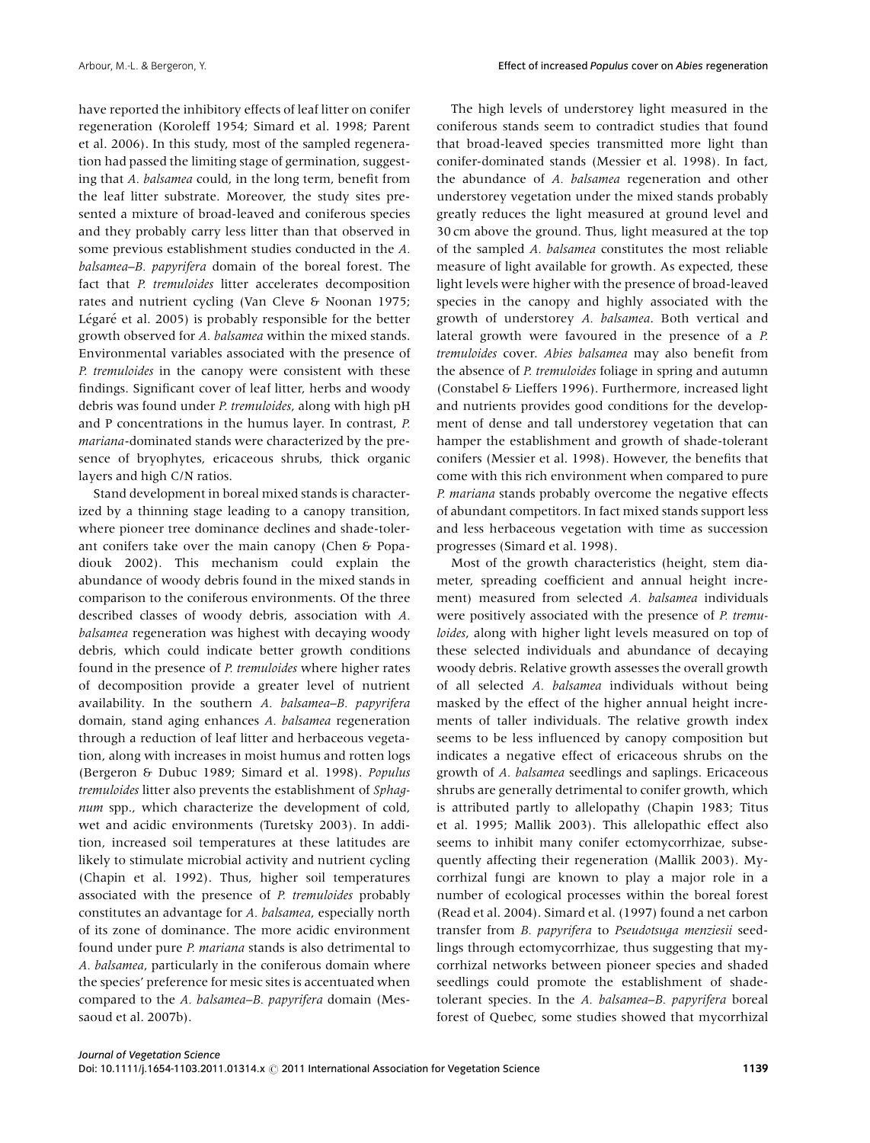have reported the inhibitory effects of leaf litter on conifer regeneration (Koroleff 1954; Simard et al. 1998; Parent et al. 2006). In this study, most of the sampled regeneration had passed the limiting stage of germination, suggesting that A. balsamea could, in the long term, benefit from the leaf litter substrate. Moreover, the study sites presented a mixture of broad-leaved and coniferous species and they probably carry less litter than that observed in some previous establishment studies conducted in the A. balsamea–B. papyrifera domain of the boreal forest. The fact that P. tremuloides litter accelerates decomposition rates and nutrient cycling (Van Cleve & Noonan 1975; Légaré et al. 2005) is probably responsible for the better growth observed for A. balsamea within the mixed stands. Environmental variables associated with the presence of P. tremuloides in the canopy were consistent with these findings. Significant cover of leaf litter, herbs and woody debris was found under P. tremuloides, along with high pH and P concentrations in the humus layer. In contrast, P. mariana-dominated stands were characterized by the presence of bryophytes, ericaceous shrubs, thick organic layers and high C/N ratios.

Stand development in boreal mixed stands is characterized by a thinning stage leading to a canopy transition, where pioneer tree dominance declines and shade-tolerant conifers take over the main canopy (Chen & Popadiouk 2002). This mechanism could explain the abundance of woody debris found in the mixed stands in comparison to the coniferous environments. Of the three described classes of woody debris, association with A. balsamea regeneration was highest with decaying woody debris, which could indicate better growth conditions found in the presence of P. tremuloides where higher rates of decomposition provide a greater level of nutrient availability. In the southern A. balsamea–B. papyrifera domain, stand aging enhances A. balsamea regeneration through a reduction of leaf litter and herbaceous vegetation, along with increases in moist humus and rotten logs (Bergeron & Dubuc 1989; Simard et al. 1998). Populus tremuloides litter also prevents the establishment of Sphagnum spp., which characterize the development of cold, wet and acidic environments (Turetsky 2003). In addition, increased soil temperatures at these latitudes are likely to stimulate microbial activity and nutrient cycling (Chapin et al. 1992). Thus, higher soil temperatures associated with the presence of P. tremuloides probably constitutes an advantage for A. balsamea, especially north of its zone of dominance. The more acidic environment found under pure P. mariana stands is also detrimental to A. balsamea, particularly in the coniferous domain where the species' preference for mesic sites is accentuated when compared to the A. balsamea–B. papyrifera domain (Messaoud et al. 2007b).

The high levels of understorey light measured in the coniferous stands seem to contradict studies that found that broad-leaved species transmitted more light than conifer-dominated stands (Messier et al. 1998). In fact, the abundance of A. balsamea regeneration and other understorey vegetation under the mixed stands probably greatly reduces the light measured at ground level and 30 cm above the ground. Thus, light measured at the top of the sampled A. balsamea constitutes the most reliable measure of light available for growth. As expected, these light levels were higher with the presence of broad-leaved species in the canopy and highly associated with the growth of understorey A. balsamea. Both vertical and lateral growth were favoured in the presence of a P. tremuloides cover. Abies balsamea may also benefit from the absence of *P. tremuloides* foliage in spring and autumn (Constabel & Lieffers 1996). Furthermore, increased light and nutrients provides good conditions for the development of dense and tall understorey vegetation that can hamper the establishment and growth of shade-tolerant conifers (Messier et al. 1998). However, the benefits that come with this rich environment when compared to pure P. mariana stands probably overcome the negative effects of abundant competitors. In fact mixed stands support less and less herbaceous vegetation with time as succession progresses (Simard et al. 1998).

Most of the growth characteristics (height, stem diameter, spreading coefficient and annual height increment) measured from selected A. balsamea individuals were positively associated with the presence of *P. tremu*loides, along with higher light levels measured on top of these selected individuals and abundance of decaying woody debris. Relative growth assesses the overall growth of all selected A. balsamea individuals without being masked by the effect of the higher annual height increments of taller individuals. The relative growth index seems to be less influenced by canopy composition but indicates a negative effect of ericaceous shrubs on the growth of A. balsamea seedlings and saplings. Ericaceous shrubs are generally detrimental to conifer growth, which is attributed partly to allelopathy (Chapin 1983; Titus et al. 1995; Mallik 2003). This allelopathic effect also seems to inhibit many conifer ectomycorrhizae, subsequently affecting their regeneration (Mallik 2003). Mycorrhizal fungi are known to play a major role in a number of ecological processes within the boreal forest (Read et al. 2004). Simard et al. (1997) found a net carbon transfer from B. papyrifera to Pseudotsuga menziesii seedlings through ectomycorrhizae, thus suggesting that mycorrhizal networks between pioneer species and shaded seedlings could promote the establishment of shadetolerant species. In the A. balsamea–B. papyrifera boreal forest of Quebec, some studies showed that mycorrhizal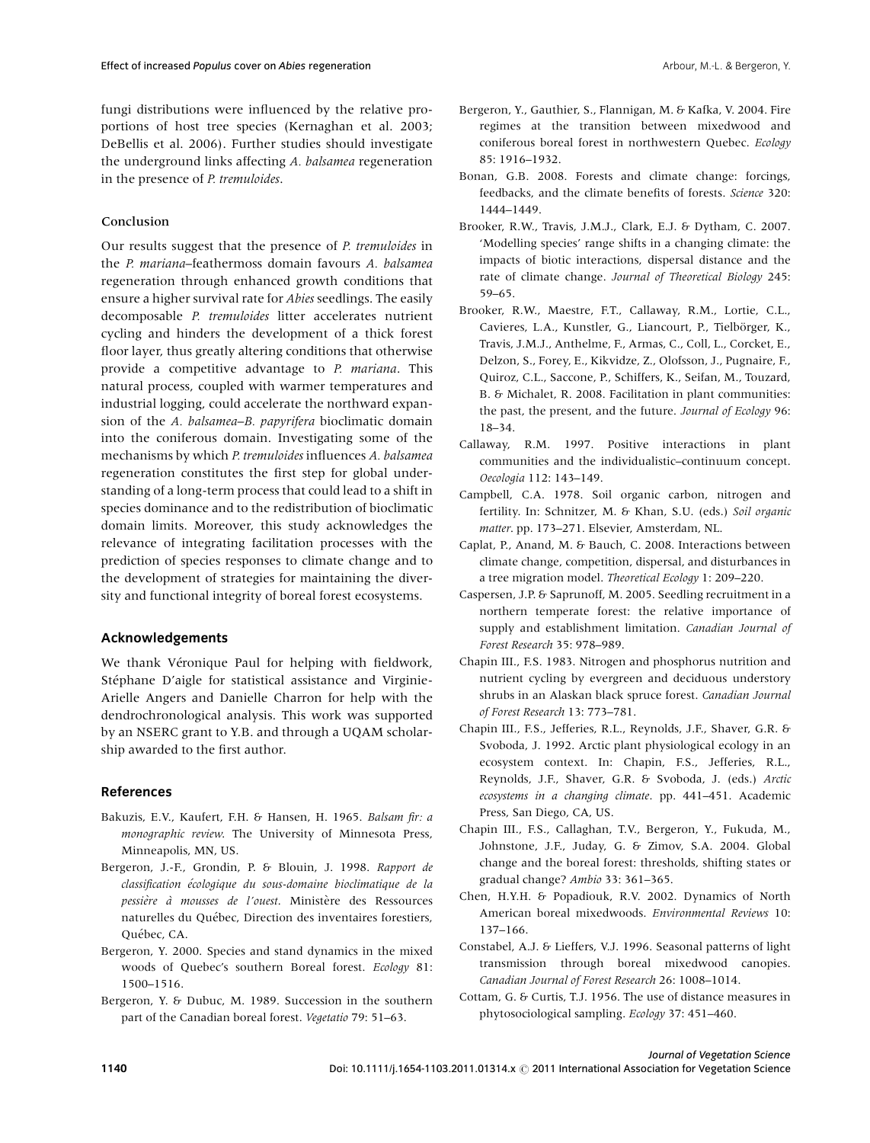fungi distributions were influenced by the relative proportions of host tree species (Kernaghan et al. 2003; DeBellis et al. 2006). Further studies should investigate the underground links affecting A. balsamea regeneration in the presence of P. tremuloides.

## Conclusion

Our results suggest that the presence of P. tremuloides in the P. mariana–feathermoss domain favours A. balsamea regeneration through enhanced growth conditions that ensure a higher survival rate for Abies seedlings. The easily decomposable P. tremuloides litter accelerates nutrient cycling and hinders the development of a thick forest floor layer, thus greatly altering conditions that otherwise provide a competitive advantage to P. mariana. This natural process, coupled with warmer temperatures and industrial logging, could accelerate the northward expansion of the A. balsamea–B. papyrifera bioclimatic domain into the coniferous domain. Investigating some of the mechanisms by which P. tremuloides influences A. balsamea regeneration constitutes the first step for global understanding of a long-term process that could lead to a shift in species dominance and to the redistribution of bioclimatic domain limits. Moreover, this study acknowledges the relevance of integrating facilitation processes with the prediction of species responses to climate change and to the development of strategies for maintaining the diversity and functional integrity of boreal forest ecosystems.

## Acknowledgements

We thank Véronique Paul for helping with fieldwork, Stéphane D'aigle for statistical assistance and Virginie-Arielle Angers and Danielle Charron for help with the dendrochronological analysis. This work was supported by an NSERC grant to Y.B. and through a UQAM scholarship awarded to the first author.

## References

- Bakuzis, E.V., Kaufert, F.H. & Hansen, H. 1965. Balsam fir: a monographic review. The University of Minnesota Press, Minneapolis, MN, US.
- Bergeron, J.-F., Grondin, P. & Blouin, J. 1998. Rapport de classification ecologique du sous-domaine bioclimatique de la ´ pessière à mousses de l'ouest. Ministère des Ressources naturelles du Québec, Direction des inventaires forestiers, Québec, CA.
- Bergeron, Y. 2000. Species and stand dynamics in the mixed woods of Quebec's southern Boreal forest. Ecology 81: 1500–1516.
- Bergeron, Y. & Dubuc, M. 1989. Succession in the southern part of the Canadian boreal forest. Vegetatio 79: 51–63.
- Bergeron, Y., Gauthier, S., Flannigan, M. & Kafka, V. 2004. Fire regimes at the transition between mixedwood and coniferous boreal forest in northwestern Quebec. Ecology 85: 1916–1932.
- Bonan, G.B. 2008. Forests and climate change: forcings, feedbacks, and the climate benefits of forests. Science 320: 1444–1449.
- Brooker, R.W., Travis, J.M.J., Clark, E.J. & Dytham, C. 2007. 'Modelling species' range shifts in a changing climate: the impacts of biotic interactions, dispersal distance and the rate of climate change. Journal of Theoretical Biology 245: 59–65.
- Brooker, R.W., Maestre, F.T., Callaway, R.M., Lortie, C.L., Cavieres, L.A., Kunstler, G., Liancourt, P., Tielbörger, K., Travis, J.M.J., Anthelme, F., Armas, C., Coll, L., Corcket, E., Delzon, S., Forey, E., Kikvidze, Z., Olofsson, J., Pugnaire, F., Quiroz, C.L., Saccone, P., Schiffers, K., Seifan, M., Touzard, B. & Michalet, R. 2008. Facilitation in plant communities: the past, the present, and the future. Journal of Ecology 96: 18–34.
- Callaway, R.M. 1997. Positive interactions in plant communities and the individualistic–continuum concept. Oecologia 112: 143–149.
- Campbell, C.A. 1978. Soil organic carbon, nitrogen and fertility. In: Schnitzer, M. & Khan, S.U. (eds.) Soil organic matter. pp. 173–271. Elsevier, Amsterdam, NL.
- Caplat, P., Anand, M. & Bauch, C. 2008. Interactions between climate change, competition, dispersal, and disturbances in a tree migration model. Theoretical Ecology 1: 209–220.
- Caspersen, J.P. & Saprunoff, M. 2005. Seedling recruitment in a northern temperate forest: the relative importance of supply and establishment limitation. Canadian Journal of Forest Research 35: 978–989.
- Chapin III., F.S. 1983. Nitrogen and phosphorus nutrition and nutrient cycling by evergreen and deciduous understory shrubs in an Alaskan black spruce forest. Canadian Journal of Forest Research 13: 773–781.
- Chapin III., F.S., Jefferies, R.L., Reynolds, J.F., Shaver, G.R. & Svoboda, J. 1992. Arctic plant physiological ecology in an ecosystem context. In: Chapin, F.S., Jefferies, R.L., Reynolds, J.F., Shaver, G.R. & Svoboda, J. (eds.) Arctic ecosystems in a changing climate. pp. 441–451. Academic Press, San Diego, CA, US.
- Chapin III., F.S., Callaghan, T.V., Bergeron, Y., Fukuda, M., Johnstone, J.F., Juday, G. & Zimov, S.A. 2004. Global change and the boreal forest: thresholds, shifting states or gradual change? Ambio 33: 361–365.
- Chen, H.Y.H. & Popadiouk, R.V. 2002. Dynamics of North American boreal mixedwoods. Environmental Reviews 10: 137–166.
- Constabel, A.J. & Lieffers, V.J. 1996. Seasonal patterns of light transmission through boreal mixedwood canopies. Canadian Journal of Forest Research 26: 1008–1014.
- Cottam, G. & Curtis, T.J. 1956. The use of distance measures in phytosociological sampling. Ecology 37: 451–460.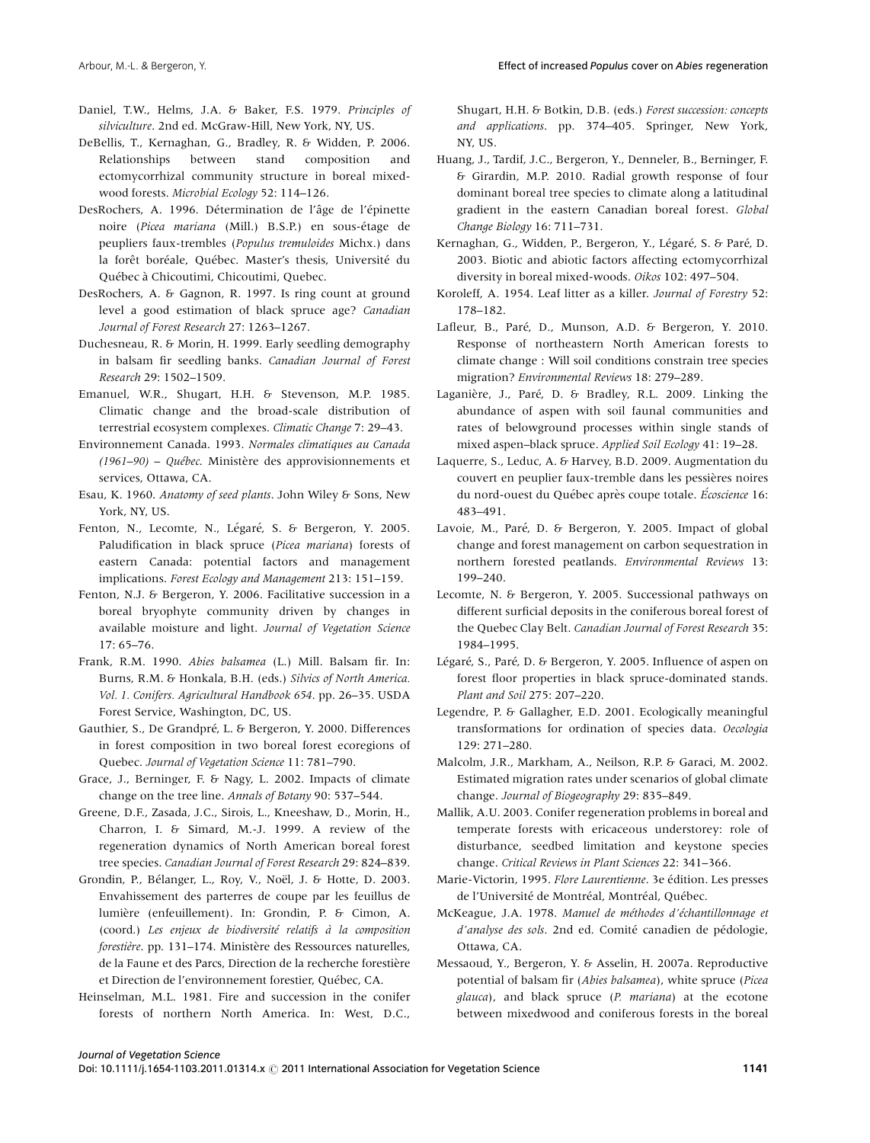- Daniel, T.W., Helms, J.A. & Baker, F.S. 1979. Principles of silviculture. 2nd ed. McGraw-Hill, New York, NY, US.
- DeBellis, T., Kernaghan, G., Bradley, R. & Widden, P. 2006. Relationships between stand composition and ectomycorrhizal community structure in boreal mixedwood forests. Microbial Ecology 52: 114–126.
- DesRochers, A. 1996. Détermination de l'âge de l'épinette noire (Picea mariana (Mill.) B.S.P.) en sous-étage de peupliers faux-trembles (Populus tremuloides Michx.) dans la forêt boréale, Québec. Master's thesis, Université du Québec à Chicoutimi, Chicoutimi, Quebec.
- DesRochers, A. & Gagnon, R. 1997. Is ring count at ground level a good estimation of black spruce age? Canadian Journal of Forest Research 27: 1263–1267.
- Duchesneau, R. & Morin, H. 1999. Early seedling demography in balsam fir seedling banks. Canadian Journal of Forest Research 29: 1502–1509.
- Emanuel, W.R., Shugart, H.H. & Stevenson, M.P. 1985. Climatic change and the broad-scale distribution of terrestrial ecosystem complexes. Climatic Change 7: 29–43.
- Environnement Canada. 1993. Normales climatiques au Canada (1961–90) – Québec. Ministère des approvisionnements et services, Ottawa, CA.
- Esau, K. 1960. Anatomy of seed plants. John Wiley & Sons, New York, NY, US.
- Fenton, N., Lecomte, N., Légaré, S. & Bergeron, Y. 2005. Paludification in black spruce (Picea mariana) forests of eastern Canada: potential factors and management implications. Forest Ecology and Management 213: 151–159.
- Fenton, N.J. & Bergeron, Y. 2006. Facilitative succession in a boreal bryophyte community driven by changes in available moisture and light. Journal of Vegetation Science 17: 65–76.
- Frank, R.M. 1990. Abies balsamea (L.) Mill. Balsam fir. In: Burns, R.M. & Honkala, B.H. (eds.) Silvics of North America. Vol. 1. Conifers. Agricultural Handbook 654. pp. 26–35. USDA Forest Service, Washington, DC, US.
- Gauthier, S., De Grandpré, L. & Bergeron, Y. 2000. Differences in forest composition in two boreal forest ecoregions of Quebec. Journal of Vegetation Science 11: 781–790.
- Grace, J., Berninger, F. & Nagy, L. 2002. Impacts of climate change on the tree line. Annals of Botany 90: 537–544.
- Greene, D.F., Zasada, J.C., Sirois, L., Kneeshaw, D., Morin, H., Charron, I. & Simard, M.-J. 1999. A review of the regeneration dynamics of North American boreal forest tree species. Canadian Journal of Forest Research 29: 824–839.
- Grondin, P., Bélanger, L., Roy, V., Noël, J. & Hotte, D. 2003. Envahissement des parterres de coupe par les feuillus de lumière (enfeuillement). In: Grondin, P. & Cimon, A. (coord.) Les enjeux de biodiversité relatifs à la composition forestière. pp. 131-174. Ministère des Ressources naturelles, de la Faune et des Parcs, Direction de la recherche forestière et Direction de l'environnement forestier, Québec, CA.
- Heinselman, M.L. 1981. Fire and succession in the conifer forests of northern North America. In: West, D.C.,

Shugart, H.H. & Botkin, D.B. (eds.) Forest succession: concepts and applications. pp. 374–405. Springer, New York, NY IIS.

- Huang, J., Tardif, J.C., Bergeron, Y., Denneler, B., Berninger, F. & Girardin, M.P. 2010. Radial growth response of four dominant boreal tree species to climate along a latitudinal gradient in the eastern Canadian boreal forest. Global Change Biology 16: 711–731.
- Kernaghan, G., Widden, P., Bergeron, Y., Légaré, S. & Paré, D. 2003. Biotic and abiotic factors affecting ectomycorrhizal diversity in boreal mixed-woods. Oikos 102: 497–504.
- Koroleff, A. 1954. Leaf litter as a killer. Journal of Forestry 52: 178–182.
- Lafleur, B., Paré, D., Munson, A.D. & Bergeron, Y. 2010. Response of northeastern North American forests to climate change : Will soil conditions constrain tree species migration? Environmental Reviews 18: 279–289.
- Laganière, J., Paré, D. & Bradley, R.L. 2009. Linking the abundance of aspen with soil faunal communities and rates of belowground processes within single stands of mixed aspen–black spruce. Applied Soil Ecology 41: 19–28.
- Laquerre, S., Leduc, A. & Harvey, B.D. 2009. Augmentation du couvert en peuplier faux-tremble dans les pessières noires du nord-ouest du Québec après coupe totale. Écoscience 16: 483–491.
- Lavoie, M., Paré, D. & Bergeron, Y. 2005. Impact of global change and forest management on carbon sequestration in northern forested peatlands. Environmental Reviews 13: 199–240.
- Lecomte, N. & Bergeron, Y. 2005. Successional pathways on different surficial deposits in the coniferous boreal forest of the Quebec Clay Belt. Canadian Journal of Forest Research 35: 1984–1995.
- Légaré, S., Paré, D. & Bergeron, Y. 2005. Influence of aspen on forest floor properties in black spruce-dominated stands. Plant and Soil 275: 207–220.
- Legendre, P. & Gallagher, E.D. 2001. Ecologically meaningful transformations for ordination of species data. Oecologia 129: 271–280.
- Malcolm, J.R., Markham, A., Neilson, R.P. & Garaci, M. 2002. Estimated migration rates under scenarios of global climate change. Journal of Biogeography 29: 835–849.
- Mallik, A.U. 2003. Conifer regeneration problems in boreal and temperate forests with ericaceous understorey: role of disturbance, seedbed limitation and keystone species change. Critical Reviews in Plant Sciences 22: 341–366.
- Marie-Victorin, 1995. Flore Laurentienne. 3e édition. Les presses de l'Université de Montréal, Montréal, Québec.
- McKeague, J.A. 1978. Manuel de méthodes d'échantillonnage et d'analyse des sols. 2nd ed. Comité canadien de pédologie, Ottawa, CA.
- Messaoud, Y., Bergeron, Y. & Asselin, H. 2007a. Reproductive potential of balsam fir (Abies balsamea), white spruce (Picea glauca), and black spruce (P. mariana) at the ecotone between mixedwood and coniferous forests in the boreal